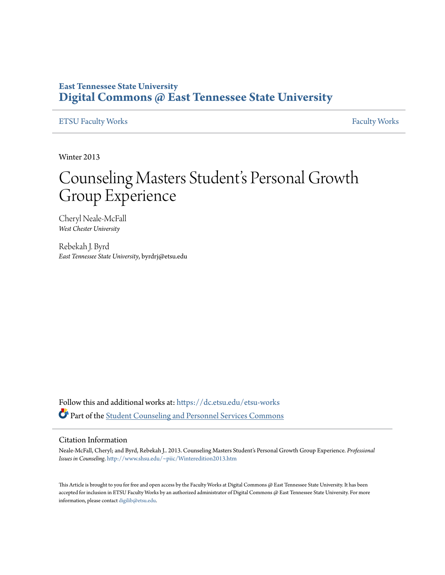### **East Tennessee State University [Digital Commons @ East Tennessee State University](https://dc.etsu.edu?utm_source=dc.etsu.edu%2Fetsu-works%2F888&utm_medium=PDF&utm_campaign=PDFCoverPages)**

#### [ETSU Faculty Works](https://dc.etsu.edu/etsu-works?utm_source=dc.etsu.edu%2Fetsu-works%2F888&utm_medium=PDF&utm_campaign=PDFCoverPages) [Faculty Works](https://dc.etsu.edu/faculty-works?utm_source=dc.etsu.edu%2Fetsu-works%2F888&utm_medium=PDF&utm_campaign=PDFCoverPages) Faculty Works

Winter 2013

# Counseling Masters Student's Personal Growth Group Experience

Cheryl Neale-McFall *West Chester University*

Rebekah J. Byrd *East Tennessee State University*, byrdrj@etsu.edu

Follow this and additional works at: [https://dc.etsu.edu/etsu-works](https://dc.etsu.edu/etsu-works?utm_source=dc.etsu.edu%2Fetsu-works%2F888&utm_medium=PDF&utm_campaign=PDFCoverPages) Part of the [Student Counseling and Personnel Services Commons](http://network.bepress.com/hgg/discipline/802?utm_source=dc.etsu.edu%2Fetsu-works%2F888&utm_medium=PDF&utm_campaign=PDFCoverPages)

#### Citation Information

Neale-McFall, Cheryl; and Byrd, Rebekah J.. 2013. Counseling Masters Student's Personal Growth Group Experience. *Professional Issues in Counseling*. <http://www.shsu.edu/~piic/Winteredition2013.htm>

This Article is brought to you for free and open access by the Faculty Works at Digital Commons @ East Tennessee State University. It has been accepted for inclusion in ETSU Faculty Works by an authorized administrator of Digital Commons @ East Tennessee State University. For more information, please contact [digilib@etsu.edu.](mailto:digilib@etsu.edu)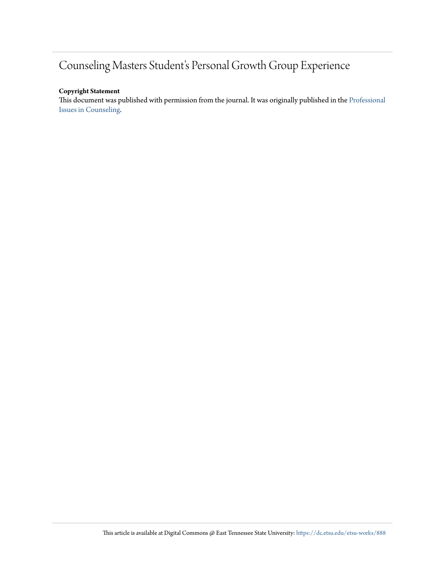## Counseling Masters Student's Personal Growth Group Experience

#### **Copyright Statement**

This document was published with permission from the journal. It was originally published in the [Professional](http://www.shsu.edu/~piic/Winteredition2013.htm) [Issues in Counseling](http://www.shsu.edu/~piic/Winteredition2013.htm).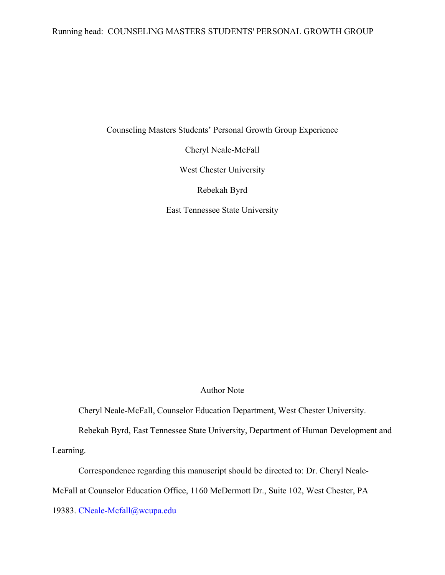#### Running head: COUNSELING MASTERS STUDENTS' PERSONAL GROWTH GROUP

Counseling Masters Students' Personal Growth Group Experience

Cheryl Neale-McFall

West Chester University

Rebekah Byrd

East Tennessee State University

#### Author Note

Cheryl Neale-McFall, Counselor Education Department, West Chester University.

Rebekah Byrd, East Tennessee State University, Department of Human Development and

Learning.

Correspondence regarding this manuscript should be directed to: Dr. Cheryl Neale-

McFall at Counselor Education Office, 1160 McDermott Dr., Suite 102, West Chester, PA

19383. CNeale-Mcfall@wcupa.edu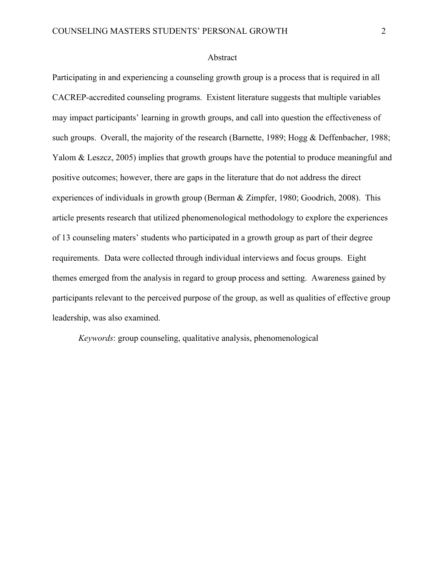#### Abstract

Participating in and experiencing a counseling growth group is a process that is required in all CACREP-accredited counseling programs. Existent literature suggests that multiple variables may impact participants' learning in growth groups, and call into question the effectiveness of such groups. Overall, the majority of the research (Barnette, 1989; Hogg & Deffenbacher, 1988; Yalom & Leszcz, 2005) implies that growth groups have the potential to produce meaningful and positive outcomes; however, there are gaps in the literature that do not address the direct experiences of individuals in growth group (Berman & Zimpfer, 1980; Goodrich, 2008). This article presents research that utilized phenomenological methodology to explore the experiences of 13 counseling maters' students who participated in a growth group as part of their degree requirements. Data were collected through individual interviews and focus groups. Eight themes emerged from the analysis in regard to group process and setting. Awareness gained by participants relevant to the perceived purpose of the group, as well as qualities of effective group leadership, was also examined.

*Keywords*: group counseling, qualitative analysis, phenomenological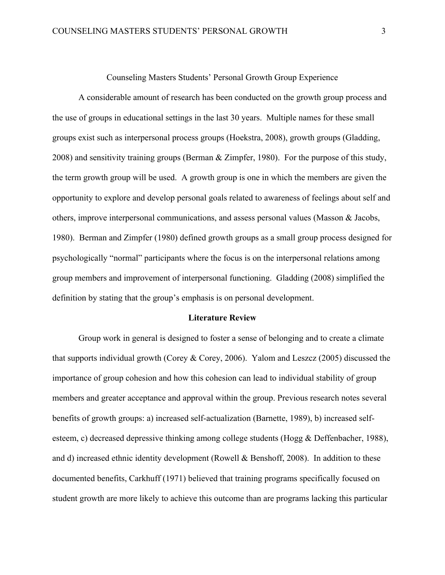Counseling Masters Students' Personal Growth Group Experience

A considerable amount of research has been conducted on the growth group process and the use of groups in educational settings in the last 30 years. Multiple names for these small groups exist such as interpersonal process groups (Hoekstra, 2008), growth groups (Gladding, 2008) and sensitivity training groups (Berman & Zimpfer, 1980). For the purpose of this study, the term growth group will be used. A growth group is one in which the members are given the opportunity to explore and develop personal goals related to awareness of feelings about self and others, improve interpersonal communications, and assess personal values (Masson & Jacobs, 1980). Berman and Zimpfer (1980) defined growth groups as a small group process designed for psychologically "normal" participants where the focus is on the interpersonal relations among group members and improvement of interpersonal functioning. Gladding (2008) simplified the definition by stating that the group's emphasis is on personal development.

#### **Literature Review**

Group work in general is designed to foster a sense of belonging and to create a climate that supports individual growth (Corey  $\&$  Corey, 2006). Yalom and Leszcz (2005) discussed the importance of group cohesion and how this cohesion can lead to individual stability of group members and greater acceptance and approval within the group. Previous research notes several benefits of growth groups: a) increased self-actualization (Barnette, 1989), b) increased selfesteem, c) decreased depressive thinking among college students (Hogg & Deffenbacher, 1988), and d) increased ethnic identity development (Rowell & Benshoff, 2008). In addition to these documented benefits, Carkhuff (1971) believed that training programs specifically focused on student growth are more likely to achieve this outcome than are programs lacking this particular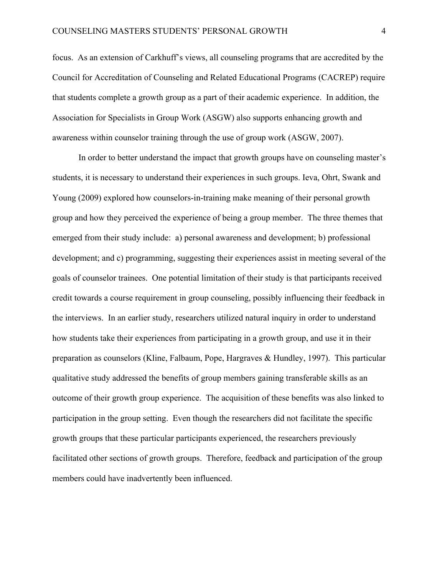focus. As an extension of Carkhuff's views, all counseling programs that are accredited by the Council for Accreditation of Counseling and Related Educational Programs (CACREP) require that students complete a growth group as a part of their academic experience. In addition, the Association for Specialists in Group Work (ASGW) also supports enhancing growth and awareness within counselor training through the use of group work (ASGW, 2007).

In order to better understand the impact that growth groups have on counseling master's students, it is necessary to understand their experiences in such groups. Ieva, Ohrt, Swank and Young (2009) explored how counselors-in-training make meaning of their personal growth group and how they perceived the experience of being a group member. The three themes that emerged from their study include: a) personal awareness and development; b) professional development; and c) programming, suggesting their experiences assist in meeting several of the goals of counselor trainees. One potential limitation of their study is that participants received credit towards a course requirement in group counseling, possibly influencing their feedback in the interviews. In an earlier study, researchers utilized natural inquiry in order to understand how students take their experiences from participating in a growth group, and use it in their preparation as counselors (Kline, Falbaum, Pope, Hargraves & Hundley, 1997). This particular qualitative study addressed the benefits of group members gaining transferable skills as an outcome of their growth group experience. The acquisition of these benefits was also linked to participation in the group setting. Even though the researchers did not facilitate the specific growth groups that these particular participants experienced, the researchers previously facilitated other sections of growth groups. Therefore, feedback and participation of the group members could have inadvertently been influenced.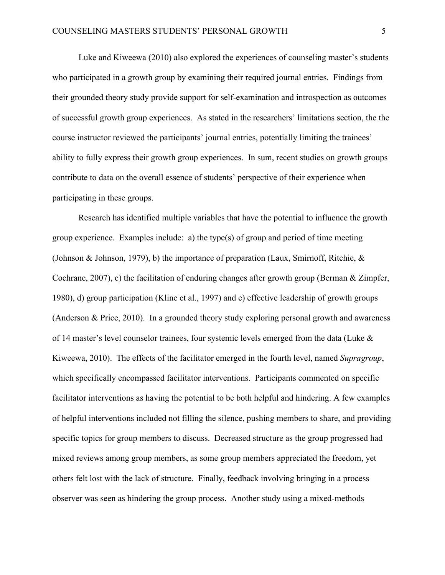Luke and Kiweewa (2010) also explored the experiences of counseling master's students who participated in a growth group by examining their required journal entries. Findings from their grounded theory study provide support for self-examination and introspection as outcomes of successful growth group experiences. As stated in the researchers' limitations section, the the course instructor reviewed the participants' journal entries, potentially limiting the trainees' ability to fully express their growth group experiences. In sum, recent studies on growth groups contribute to data on the overall essence of students' perspective of their experience when participating in these groups.

Research has identified multiple variables that have the potential to influence the growth group experience. Examples include: a) the type(s) of group and period of time meeting (Johnson & Johnson, 1979), b) the importance of preparation (Laux, Smirnoff, Ritchie, & Cochrane, 2007), c) the facilitation of enduring changes after growth group (Berman & Zimpfer, 1980), d) group participation (Kline et al., 1997) and e) effective leadership of growth groups (Anderson & Price, 2010). In a grounded theory study exploring personal growth and awareness of 14 master's level counselor trainees, four systemic levels emerged from the data (Luke & Kiweewa, 2010). The effects of the facilitator emerged in the fourth level, named *Supragroup*, which specifically encompassed facilitator interventions. Participants commented on specific facilitator interventions as having the potential to be both helpful and hindering. A few examples of helpful interventions included not filling the silence, pushing members to share, and providing specific topics for group members to discuss. Decreased structure as the group progressed had mixed reviews among group members, as some group members appreciated the freedom, yet others felt lost with the lack of structure. Finally, feedback involving bringing in a process observer was seen as hindering the group process. Another study using a mixed-methods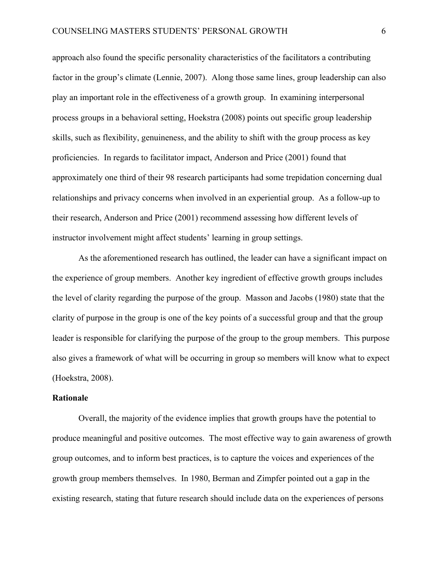approach also found the specific personality characteristics of the facilitators a contributing factor in the group's climate (Lennie, 2007). Along those same lines, group leadership can also play an important role in the effectiveness of a growth group. In examining interpersonal process groups in a behavioral setting, Hoekstra (2008) points out specific group leadership skills, such as flexibility, genuineness, and the ability to shift with the group process as key proficiencies. In regards to facilitator impact, Anderson and Price (2001) found that approximately one third of their 98 research participants had some trepidation concerning dual relationships and privacy concerns when involved in an experiential group. As a follow-up to their research, Anderson and Price (2001) recommend assessing how different levels of instructor involvement might affect students' learning in group settings.

As the aforementioned research has outlined, the leader can have a significant impact on the experience of group members. Another key ingredient of effective growth groups includes the level of clarity regarding the purpose of the group. Masson and Jacobs (1980) state that the clarity of purpose in the group is one of the key points of a successful group and that the group leader is responsible for clarifying the purpose of the group to the group members. This purpose also gives a framework of what will be occurring in group so members will know what to expect (Hoekstra, 2008).

#### **Rationale**

Overall, the majority of the evidence implies that growth groups have the potential to produce meaningful and positive outcomes. The most effective way to gain awareness of growth group outcomes, and to inform best practices, is to capture the voices and experiences of the growth group members themselves. In 1980, Berman and Zimpfer pointed out a gap in the existing research, stating that future research should include data on the experiences of persons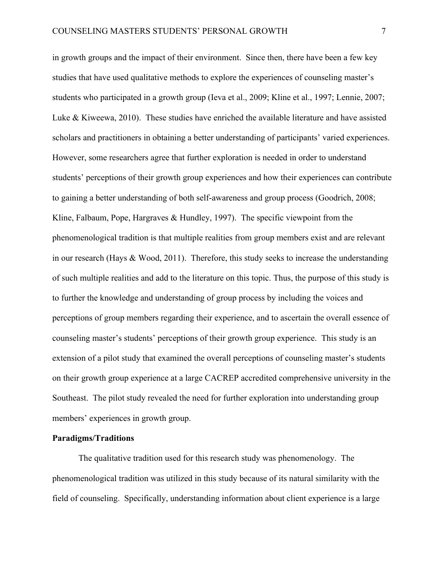in growth groups and the impact of their environment. Since then, there have been a few key studies that have used qualitative methods to explore the experiences of counseling master's students who participated in a growth group (Ieva et al., 2009; Kline et al., 1997; Lennie, 2007; Luke & Kiweewa, 2010). These studies have enriched the available literature and have assisted scholars and practitioners in obtaining a better understanding of participants' varied experiences. However, some researchers agree that further exploration is needed in order to understand students' perceptions of their growth group experiences and how their experiences can contribute to gaining a better understanding of both self-awareness and group process (Goodrich, 2008; Kline, Falbaum, Pope, Hargraves & Hundley, 1997). The specific viewpoint from the phenomenological tradition is that multiple realities from group members exist and are relevant in our research (Hays & Wood, 2011). Therefore, this study seeks to increase the understanding of such multiple realities and add to the literature on this topic. Thus, the purpose of this study is to further the knowledge and understanding of group process by including the voices and perceptions of group members regarding their experience, and to ascertain the overall essence of counseling master's students' perceptions of their growth group experience. This study is an extension of a pilot study that examined the overall perceptions of counseling master's students on their growth group experience at a large CACREP accredited comprehensive university in the Southeast. The pilot study revealed the need for further exploration into understanding group members' experiences in growth group.

#### **Paradigms/Traditions**

The qualitative tradition used for this research study was phenomenology. The phenomenological tradition was utilized in this study because of its natural similarity with the field of counseling. Specifically, understanding information about client experience is a large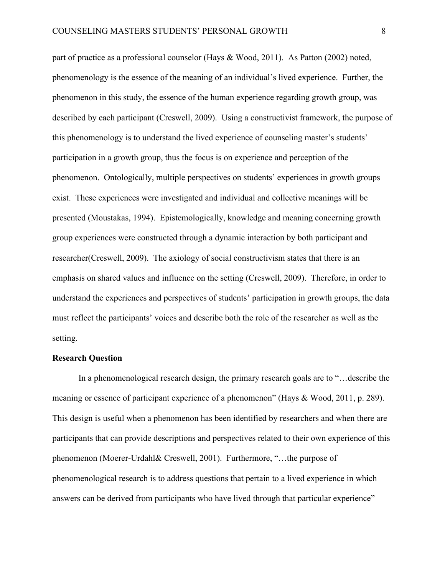part of practice as a professional counselor (Hays & Wood, 2011). As Patton (2002) noted, phenomenology is the essence of the meaning of an individual's lived experience. Further, the phenomenon in this study, the essence of the human experience regarding growth group, was described by each participant (Creswell, 2009). Using a constructivist framework, the purpose of this phenomenology is to understand the lived experience of counseling master's students' participation in a growth group, thus the focus is on experience and perception of the phenomenon. Ontologically, multiple perspectives on students' experiences in growth groups exist. These experiences were investigated and individual and collective meanings will be presented (Moustakas, 1994). Epistemologically, knowledge and meaning concerning growth group experiences were constructed through a dynamic interaction by both participant and researcher(Creswell, 2009). The axiology of social constructivism states that there is an emphasis on shared values and influence on the setting (Creswell, 2009). Therefore, in order to understand the experiences and perspectives of students' participation in growth groups, the data must reflect the participants' voices and describe both the role of the researcher as well as the setting.

#### **Research Question**

In a phenomenological research design, the primary research goals are to "…describe the meaning or essence of participant experience of a phenomenon" (Hays & Wood, 2011, p. 289). This design is useful when a phenomenon has been identified by researchers and when there are participants that can provide descriptions and perspectives related to their own experience of this phenomenon (Moerer-Urdahl& Creswell, 2001). Furthermore, "…the purpose of phenomenological research is to address questions that pertain to a lived experience in which answers can be derived from participants who have lived through that particular experience"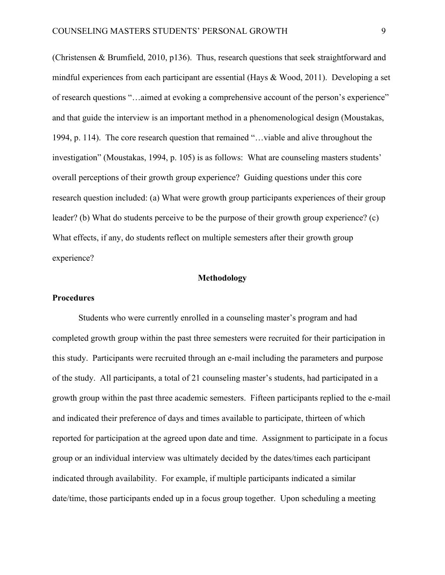(Christensen & Brumfield, 2010, p136). Thus, research questions that seek straightforward and mindful experiences from each participant are essential (Hays & Wood, 2011). Developing a set of research questions "…aimed at evoking a comprehensive account of the person's experience" and that guide the interview is an important method in a phenomenological design (Moustakas, 1994, p. 114). The core research question that remained "…viable and alive throughout the investigation" (Moustakas, 1994, p. 105) is as follows: What are counseling masters students' overall perceptions of their growth group experience? Guiding questions under this core research question included: (a) What were growth group participants experiences of their group leader? (b) What do students perceive to be the purpose of their growth group experience? (c) What effects, if any, do students reflect on multiple semesters after their growth group experience?

#### **Methodology**

#### **Procedures**

Students who were currently enrolled in a counseling master's program and had completed growth group within the past three semesters were recruited for their participation in this study. Participants were recruited through an e-mail including the parameters and purpose of the study. All participants, a total of 21 counseling master's students, had participated in a growth group within the past three academic semesters. Fifteen participants replied to the e-mail and indicated their preference of days and times available to participate, thirteen of which reported for participation at the agreed upon date and time. Assignment to participate in a focus group or an individual interview was ultimately decided by the dates/times each participant indicated through availability. For example, if multiple participants indicated a similar date/time, those participants ended up in a focus group together. Upon scheduling a meeting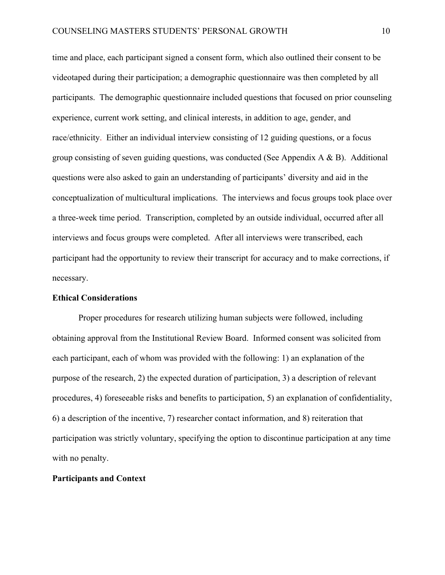time and place, each participant signed a consent form, which also outlined their consent to be videotaped during their participation; a demographic questionnaire was then completed by all participants. The demographic questionnaire included questions that focused on prior counseling experience, current work setting, and clinical interests, in addition to age, gender, and race/ethnicity. Either an individual interview consisting of 12 guiding questions, or a focus group consisting of seven guiding questions, was conducted (See Appendix  $A \& B$ ). Additional questions were also asked to gain an understanding of participants' diversity and aid in the conceptualization of multicultural implications. The interviews and focus groups took place over a three-week time period. Transcription, completed by an outside individual, occurred after all interviews and focus groups were completed. After all interviews were transcribed, each participant had the opportunity to review their transcript for accuracy and to make corrections, if necessary.

#### **Ethical Considerations**

Proper procedures for research utilizing human subjects were followed, including obtaining approval from the Institutional Review Board. Informed consent was solicited from each participant, each of whom was provided with the following: 1) an explanation of the purpose of the research, 2) the expected duration of participation, 3) a description of relevant procedures, 4) foreseeable risks and benefits to participation, 5) an explanation of confidentiality, 6) a description of the incentive, 7) researcher contact information, and 8) reiteration that participation was strictly voluntary, specifying the option to discontinue participation at any time with no penalty.

#### **Participants and Context**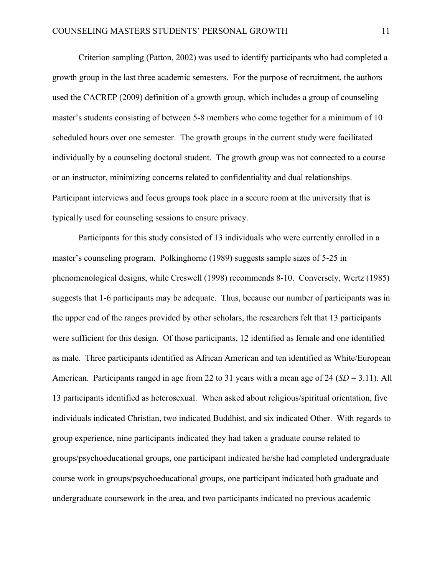Criterion sampling (Patton, 2002) was used to identify participants who had completed a growth group in the last three academic semesters. For the purpose of recruitment, the authors used the CACREP (2009) definition of a growth group, which includes a group of counseling master's students consisting of between 5-8 members who come together for a minimum of 10 scheduled hours over one semester. The growth groups in the current study were facilitated individually by a counseling doctoral student. The growth group was not connected to a course or an instructor, minimizing concerns related to confidentiality and dual relationships. Participant interviews and focus groups took place in a secure room at the university that is typically used for counseling sessions to ensure privacy.

Participants for this study consisted of 13 individuals who were currently enrolled in a master's counseling program. Polkinghorne (1989) suggests sample sizes of 5-25 in phenomenological designs, while Creswell (1998) recommends 8-10. Conversely, Wertz (1985) suggests that 1-6 participants may be adequate. Thus, because our number of participants was in the upper end of the ranges provided by other scholars, the researchers felt that 13 participants were sufficient for this design. Of those participants, 12 identified as female and one identified as male. Three participants identified as African American and ten identified as White/European American. Participants ranged in age from 22 to 31 years with a mean age of 24 (*SD* = 3.11). All 13 participants identified as heterosexual. When asked about religious/spiritual orientation, five individuals indicated Christian, two indicated Buddhist, and six indicated Other. With regards to group experience, nine participants indicated they had taken a graduate course related to groups/psychoeducational groups, one participant indicated he/she had completed undergraduate course work in groups/psychoeducational groups, one participant indicated both graduate and undergraduate coursework in the area, and two participants indicated no previous academic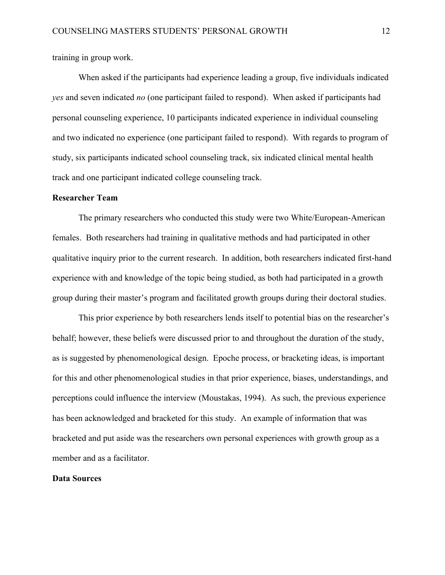training in group work.

When asked if the participants had experience leading a group, five individuals indicated *yes* and seven indicated *no* (one participant failed to respond). When asked if participants had personal counseling experience, 10 participants indicated experience in individual counseling and two indicated no experience (one participant failed to respond). With regards to program of study, six participants indicated school counseling track, six indicated clinical mental health track and one participant indicated college counseling track.

#### **Researcher Team**

The primary researchers who conducted this study were two White/European-American females. Both researchers had training in qualitative methods and had participated in other qualitative inquiry prior to the current research. In addition, both researchers indicated first-hand experience with and knowledge of the topic being studied, as both had participated in a growth group during their master's program and facilitated growth groups during their doctoral studies.

This prior experience by both researchers lends itself to potential bias on the researcher's behalf; however, these beliefs were discussed prior to and throughout the duration of the study, as is suggested by phenomenological design. Epoche process, or bracketing ideas, is important for this and other phenomenological studies in that prior experience, biases, understandings, and perceptions could influence the interview (Moustakas, 1994). As such, the previous experience has been acknowledged and bracketed for this study. An example of information that was bracketed and put aside was the researchers own personal experiences with growth group as a member and as a facilitator.

#### **Data Sources**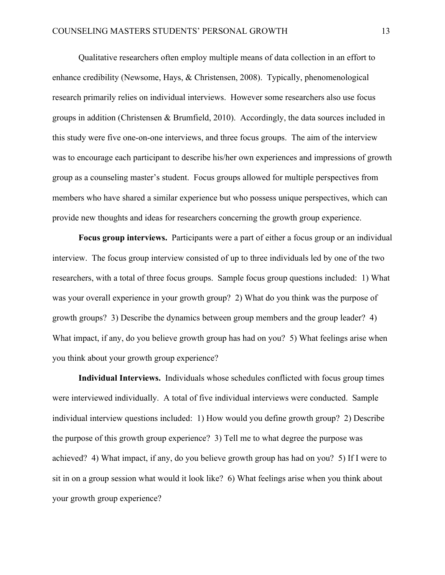Qualitative researchers often employ multiple means of data collection in an effort to enhance credibility (Newsome, Hays, & Christensen, 2008). Typically, phenomenological research primarily relies on individual interviews. However some researchers also use focus groups in addition (Christensen & Brumfield, 2010). Accordingly, the data sources included in this study were five one-on-one interviews, and three focus groups. The aim of the interview was to encourage each participant to describe his/her own experiences and impressions of growth group as a counseling master's student. Focus groups allowed for multiple perspectives from members who have shared a similar experience but who possess unique perspectives, which can provide new thoughts and ideas for researchers concerning the growth group experience.

**Focus group interviews.** Participants were a part of either a focus group or an individual interview. The focus group interview consisted of up to three individuals led by one of the two researchers, with a total of three focus groups. Sample focus group questions included: 1) What was your overall experience in your growth group? 2) What do you think was the purpose of growth groups? 3) Describe the dynamics between group members and the group leader? 4) What impact, if any, do you believe growth group has had on you? 5) What feelings arise when you think about your growth group experience?

**Individual Interviews.** Individuals whose schedules conflicted with focus group times were interviewed individually. A total of five individual interviews were conducted. Sample individual interview questions included: 1) How would you define growth group? 2) Describe the purpose of this growth group experience? 3) Tell me to what degree the purpose was achieved? 4) What impact, if any, do you believe growth group has had on you? 5) If I were to sit in on a group session what would it look like? 6) What feelings arise when you think about your growth group experience?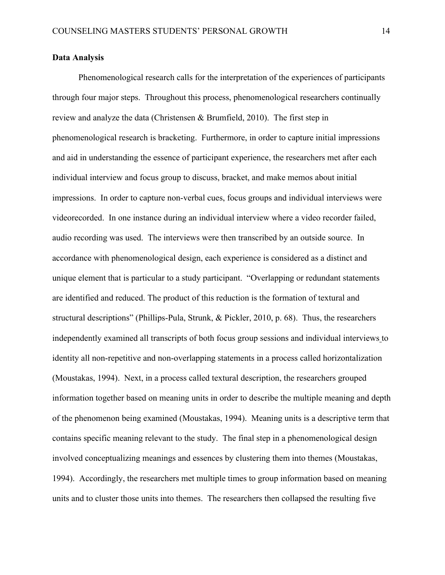#### **Data Analysis**

Phenomenological research calls for the interpretation of the experiences of participants through four major steps. Throughout this process, phenomenological researchers continually review and analyze the data (Christensen & Brumfield, 2010). The first step in phenomenological research is bracketing. Furthermore, in order to capture initial impressions and aid in understanding the essence of participant experience, the researchers met after each individual interview and focus group to discuss, bracket, and make memos about initial impressions. In order to capture non-verbal cues, focus groups and individual interviews were videorecorded. In one instance during an individual interview where a video recorder failed, audio recording was used. The interviews were then transcribed by an outside source. In accordance with phenomenological design, each experience is considered as a distinct and unique element that is particular to a study participant. "Overlapping or redundant statements are identified and reduced. The product of this reduction is the formation of textural and structural descriptions" (Phillips-Pula, Strunk, & Pickler, 2010, p. 68). Thus, the researchers independently examined all transcripts of both focus group sessions and individual interviews to identity all non-repetitive and non-overlapping statements in a process called horizontalization (Moustakas, 1994). Next, in a process called textural description, the researchers grouped information together based on meaning units in order to describe the multiple meaning and depth of the phenomenon being examined (Moustakas, 1994). Meaning units is a descriptive term that contains specific meaning relevant to the study. The final step in a phenomenological design involved conceptualizing meanings and essences by clustering them into themes (Moustakas, 1994). Accordingly, the researchers met multiple times to group information based on meaning units and to cluster those units into themes. The researchers then collapsed the resulting five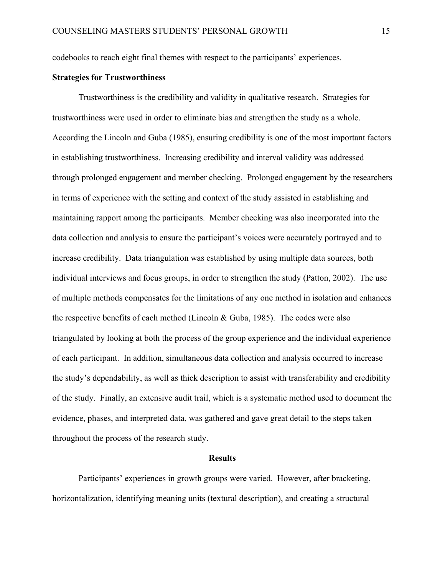codebooks to reach eight final themes with respect to the participants' experiences.

#### **Strategies for Trustworthiness**

Trustworthiness is the credibility and validity in qualitative research. Strategies for trustworthiness were used in order to eliminate bias and strengthen the study as a whole. According the Lincoln and Guba (1985), ensuring credibility is one of the most important factors in establishing trustworthiness. Increasing credibility and interval validity was addressed through prolonged engagement and member checking. Prolonged engagement by the researchers in terms of experience with the setting and context of the study assisted in establishing and maintaining rapport among the participants. Member checking was also incorporated into the data collection and analysis to ensure the participant's voices were accurately portrayed and to increase credibility. Data triangulation was established by using multiple data sources, both individual interviews and focus groups, in order to strengthen the study (Patton, 2002). The use of multiple methods compensates for the limitations of any one method in isolation and enhances the respective benefits of each method (Lincoln  $& Guba, 1985$ ). The codes were also triangulated by looking at both the process of the group experience and the individual experience of each participant. In addition, simultaneous data collection and analysis occurred to increase the study's dependability, as well as thick description to assist with transferability and credibility of the study. Finally, an extensive audit trail, which is a systematic method used to document the evidence, phases, and interpreted data, was gathered and gave great detail to the steps taken throughout the process of the research study.

#### **Results**

Participants' experiences in growth groups were varied. However, after bracketing, horizontalization, identifying meaning units (textural description), and creating a structural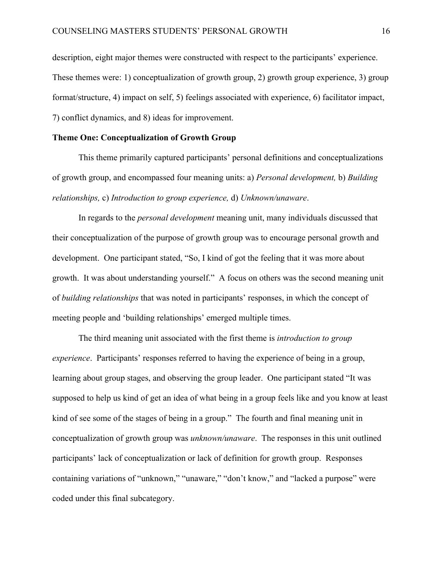description, eight major themes were constructed with respect to the participants' experience. These themes were: 1) conceptualization of growth group, 2) growth group experience, 3) group format/structure, 4) impact on self, 5) feelings associated with experience, 6) facilitator impact, 7) conflict dynamics, and 8) ideas for improvement.

#### **Theme One: Conceptualization of Growth Group**

This theme primarily captured participants' personal definitions and conceptualizations of growth group, and encompassed four meaning units: a) *Personal development,* b) *Building relationships,* c) *Introduction to group experience,* d) *Unknown/unaware*.

In regards to the *personal development* meaning unit, many individuals discussed that their conceptualization of the purpose of growth group was to encourage personal growth and development. One participant stated, "So, I kind of got the feeling that it was more about growth. It was about understanding yourself." A focus on others was the second meaning unit of *building relationships* that was noted in participants' responses, in which the concept of meeting people and 'building relationships' emerged multiple times.

The third meaning unit associated with the first theme is *introduction to group experience*. Participants' responses referred to having the experience of being in a group, learning about group stages, and observing the group leader. One participant stated "It was supposed to help us kind of get an idea of what being in a group feels like and you know at least kind of see some of the stages of being in a group." The fourth and final meaning unit in conceptualization of growth group was *unknown/unaware*. The responses in this unit outlined participants' lack of conceptualization or lack of definition for growth group. Responses containing variations of "unknown," "unaware," "don't know," and "lacked a purpose" were coded under this final subcategory.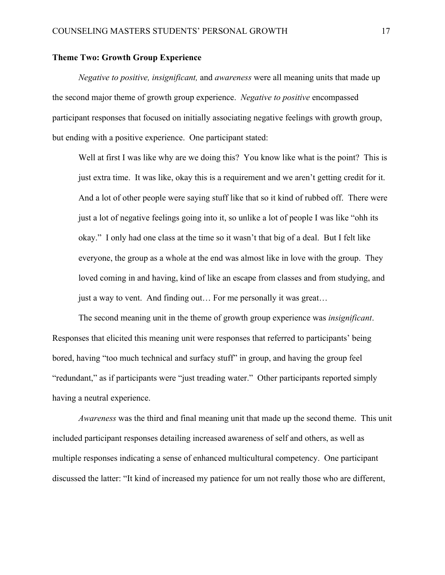#### **Theme Two: Growth Group Experience**

*Negative to positive, insignificant,* and *awareness* were all meaning units that made up the second major theme of growth group experience. *Negative to positive* encompassed participant responses that focused on initially associating negative feelings with growth group, but ending with a positive experience. One participant stated:

Well at first I was like why are we doing this? You know like what is the point? This is just extra time. It was like, okay this is a requirement and we aren't getting credit for it. And a lot of other people were saying stuff like that so it kind of rubbed off. There were just a lot of negative feelings going into it, so unlike a lot of people I was like "ohh its okay." I only had one class at the time so it wasn't that big of a deal. But I felt like everyone, the group as a whole at the end was almost like in love with the group. They loved coming in and having, kind of like an escape from classes and from studying, and just a way to vent. And finding out… For me personally it was great…

The second meaning unit in the theme of growth group experience was *insignificant*. Responses that elicited this meaning unit were responses that referred to participants' being bored, having "too much technical and surfacy stuff" in group, and having the group feel "redundant," as if participants were "just treading water." Other participants reported simply having a neutral experience.

*Awareness* was the third and final meaning unit that made up the second theme. This unit included participant responses detailing increased awareness of self and others, as well as multiple responses indicating a sense of enhanced multicultural competency. One participant discussed the latter: "It kind of increased my patience for um not really those who are different,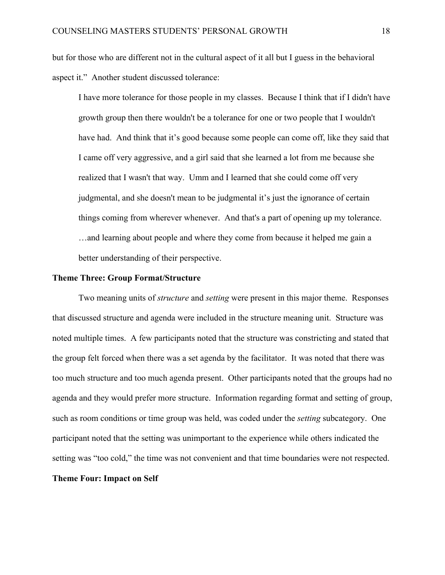but for those who are different not in the cultural aspect of it all but I guess in the behavioral aspect it." Another student discussed tolerance:

I have more tolerance for those people in my classes. Because I think that if I didn't have growth group then there wouldn't be a tolerance for one or two people that I wouldn't have had. And think that it's good because some people can come off, like they said that I came off very aggressive, and a girl said that she learned a lot from me because she realized that I wasn't that way. Umm and I learned that she could come off very judgmental, and she doesn't mean to be judgmental it's just the ignorance of certain things coming from wherever whenever. And that's a part of opening up my tolerance. …and learning about people and where they come from because it helped me gain a better understanding of their perspective.

#### **Theme Three: Group Format/Structure**

Two meaning units of *structure* and *setting* were present in this major theme. Responses that discussed structure and agenda were included in the structure meaning unit. Structure was noted multiple times. A few participants noted that the structure was constricting and stated that the group felt forced when there was a set agenda by the facilitator. It was noted that there was too much structure and too much agenda present. Other participants noted that the groups had no agenda and they would prefer more structure. Information regarding format and setting of group, such as room conditions or time group was held, was coded under the *setting* subcategory. One participant noted that the setting was unimportant to the experience while others indicated the setting was "too cold," the time was not convenient and that time boundaries were not respected. **Theme Four: Impact on Self**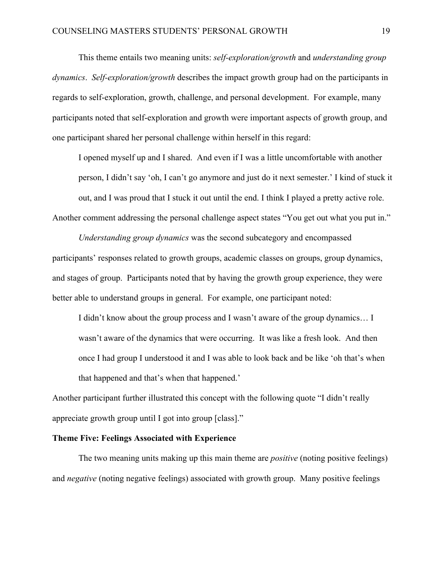This theme entails two meaning units: *self-exploration/growth* and *understanding group dynamics*. *Self-exploration/growth* describes the impact growth group had on the participants in regards to self-exploration, growth, challenge, and personal development. For example, many participants noted that self-exploration and growth were important aspects of growth group, and one participant shared her personal challenge within herself in this regard:

I opened myself up and I shared. And even if I was a little uncomfortable with another person, I didn't say 'oh, I can't go anymore and just do it next semester.' I kind of stuck it out, and I was proud that I stuck it out until the end. I think I played a pretty active role. Another comment addressing the personal challenge aspect states "You get out what you put in."

*Understanding group dynamics* was the second subcategory and encompassed participants' responses related to growth groups, academic classes on groups, group dynamics, and stages of group. Participants noted that by having the growth group experience, they were better able to understand groups in general. For example, one participant noted:

I didn't know about the group process and I wasn't aware of the group dynamics… I wasn't aware of the dynamics that were occurring. It was like a fresh look. And then once I had group I understood it and I was able to look back and be like 'oh that's when that happened and that's when that happened.'

Another participant further illustrated this concept with the following quote "I didn't really appreciate growth group until I got into group [class]."

#### **Theme Five: Feelings Associated with Experience**

The two meaning units making up this main theme are *positive* (noting positive feelings) and *negative* (noting negative feelings) associated with growth group. Many positive feelings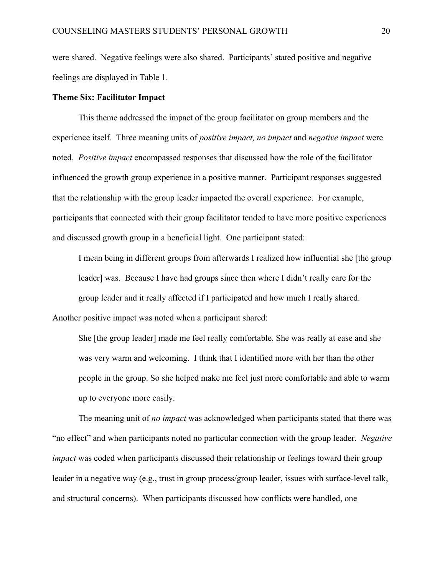were shared. Negative feelings were also shared. Participants' stated positive and negative feelings are displayed in Table 1.

#### **Theme Six: Facilitator Impact**

This theme addressed the impact of the group facilitator on group members and the experience itself. Three meaning units of *positive impact, no impact* and *negative impact* were noted. *Positive impact* encompassed responses that discussed how the role of the facilitator influenced the growth group experience in a positive manner. Participant responses suggested that the relationship with the group leader impacted the overall experience. For example, participants that connected with their group facilitator tended to have more positive experiences and discussed growth group in a beneficial light. One participant stated:

I mean being in different groups from afterwards I realized how influential she [the group leader] was. Because I have had groups since then where I didn't really care for the group leader and it really affected if I participated and how much I really shared. Another positive impact was noted when a participant shared:

She [the group leader] made me feel really comfortable. She was really at ease and she was very warm and welcoming. I think that I identified more with her than the other people in the group. So she helped make me feel just more comfortable and able to warm up to everyone more easily.

The meaning unit of *no impact* was acknowledged when participants stated that there was "no effect" and when participants noted no particular connection with the group leader. *Negative impact* was coded when participants discussed their relationship or feelings toward their group leader in a negative way (e.g., trust in group process/group leader, issues with surface-level talk, and structural concerns). When participants discussed how conflicts were handled, one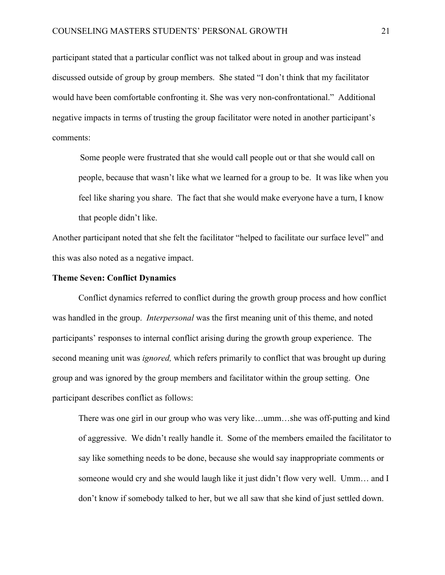participant stated that a particular conflict was not talked about in group and was instead discussed outside of group by group members. She stated "I don't think that my facilitator would have been comfortable confronting it. She was very non-confrontational." Additional negative impacts in terms of trusting the group facilitator were noted in another participant's comments:

Some people were frustrated that she would call people out or that she would call on people, because that wasn't like what we learned for a group to be. It was like when you feel like sharing you share. The fact that she would make everyone have a turn, I know that people didn't like.

Another participant noted that she felt the facilitator "helped to facilitate our surface level" and this was also noted as a negative impact.

#### **Theme Seven: Conflict Dynamics**

Conflict dynamics referred to conflict during the growth group process and how conflict was handled in the group. *Interpersonal* was the first meaning unit of this theme, and noted participants' responses to internal conflict arising during the growth group experience. The second meaning unit was *ignored,* which refers primarily to conflict that was brought up during group and was ignored by the group members and facilitator within the group setting. One participant describes conflict as follows:

There was one girl in our group who was very like…umm…she was off-putting and kind of aggressive. We didn't really handle it. Some of the members emailed the facilitator to say like something needs to be done, because she would say inappropriate comments or someone would cry and she would laugh like it just didn't flow very well. Umm… and I don't know if somebody talked to her, but we all saw that she kind of just settled down.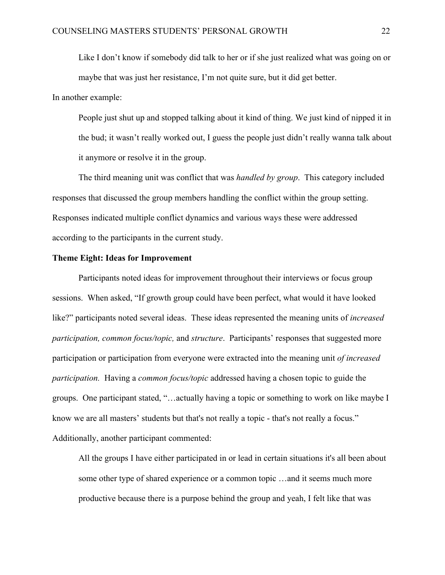Like I don't know if somebody did talk to her or if she just realized what was going on or maybe that was just her resistance, I'm not quite sure, but it did get better.

In another example:

People just shut up and stopped talking about it kind of thing. We just kind of nipped it in the bud; it wasn't really worked out, I guess the people just didn't really wanna talk about it anymore or resolve it in the group.

The third meaning unit was conflict that was *handled by group*. This category included responses that discussed the group members handling the conflict within the group setting. Responses indicated multiple conflict dynamics and various ways these were addressed according to the participants in the current study.

#### **Theme Eight: Ideas for Improvement**

Participants noted ideas for improvement throughout their interviews or focus group sessions. When asked, "If growth group could have been perfect, what would it have looked like?" participants noted several ideas. These ideas represented the meaning units of *increased participation, common focus/topic,* and *structure*. Participants' responses that suggested more participation or participation from everyone were extracted into the meaning unit *of increased participation.* Having a *common focus/topic* addressed having a chosen topic to guide the groups. One participant stated, "…actually having a topic or something to work on like maybe I know we are all masters' students but that's not really a topic - that's not really a focus." Additionally, another participant commented:

All the groups I have either participated in or lead in certain situations it's all been about some other type of shared experience or a common topic …and it seems much more productive because there is a purpose behind the group and yeah, I felt like that was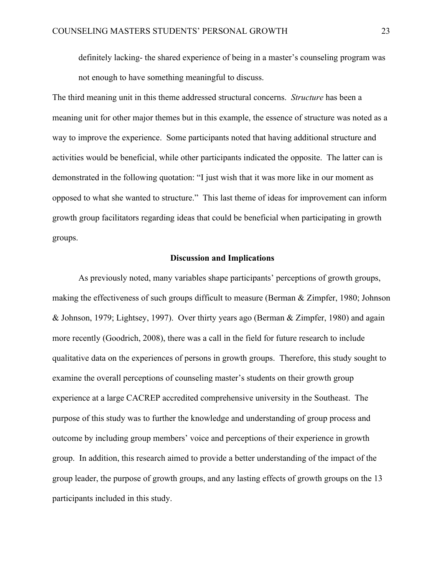definitely lacking- the shared experience of being in a master's counseling program was not enough to have something meaningful to discuss.

The third meaning unit in this theme addressed structural concerns. *Structure* has been a meaning unit for other major themes but in this example, the essence of structure was noted as a way to improve the experience. Some participants noted that having additional structure and activities would be beneficial, while other participants indicated the opposite. The latter can is demonstrated in the following quotation: "I just wish that it was more like in our moment as opposed to what she wanted to structure." This last theme of ideas for improvement can inform growth group facilitators regarding ideas that could be beneficial when participating in growth groups.

#### **Discussion and Implications**

As previously noted, many variables shape participants' perceptions of growth groups, making the effectiveness of such groups difficult to measure (Berman & Zimpfer, 1980; Johnson & Johnson, 1979; Lightsey, 1997). Over thirty years ago (Berman & Zimpfer, 1980) and again more recently (Goodrich, 2008), there was a call in the field for future research to include qualitative data on the experiences of persons in growth groups. Therefore, this study sought to examine the overall perceptions of counseling master's students on their growth group experience at a large CACREP accredited comprehensive university in the Southeast. The purpose of this study was to further the knowledge and understanding of group process and outcome by including group members' voice and perceptions of their experience in growth group. In addition, this research aimed to provide a better understanding of the impact of the group leader, the purpose of growth groups, and any lasting effects of growth groups on the 13 participants included in this study.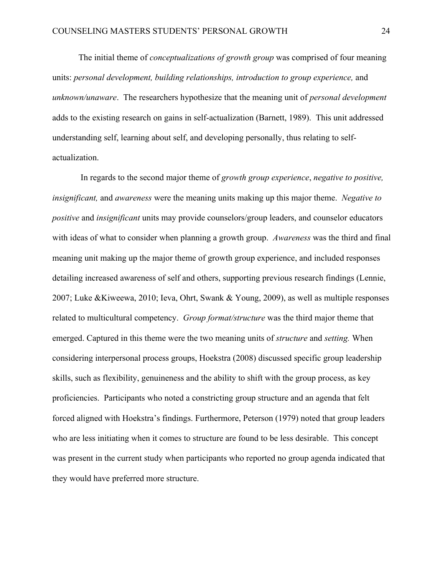The initial theme of *conceptualizations of growth group* was comprised of four meaning units: *personal development, building relationships, introduction to group experience,* and *unknown/unaware*. The researchers hypothesize that the meaning unit of *personal development*  adds to the existing research on gains in self-actualization (Barnett, 1989). This unit addressed understanding self, learning about self, and developing personally, thus relating to selfactualization.

In regards to the second major theme of *growth group experience*, *negative to positive, insignificant,* and *awareness* were the meaning units making up this major theme. *Negative to positive* and *insignificant* units may provide counselors/group leaders, and counselor educators with ideas of what to consider when planning a growth group. *Awareness* was the third and final meaning unit making up the major theme of growth group experience, and included responses detailing increased awareness of self and others, supporting previous research findings (Lennie, 2007; Luke &Kiweewa, 2010; Ieva, Ohrt, Swank & Young, 2009), as well as multiple responses related to multicultural competency. *Group format/structure* was the third major theme that emerged. Captured in this theme were the two meaning units of *structure* and *setting.* When considering interpersonal process groups, Hoekstra (2008) discussed specific group leadership skills, such as flexibility, genuineness and the ability to shift with the group process, as key proficiencies. Participants who noted a constricting group structure and an agenda that felt forced aligned with Hoekstra's findings. Furthermore, Peterson (1979) noted that group leaders who are less initiating when it comes to structure are found to be less desirable. This concept was present in the current study when participants who reported no group agenda indicated that they would have preferred more structure.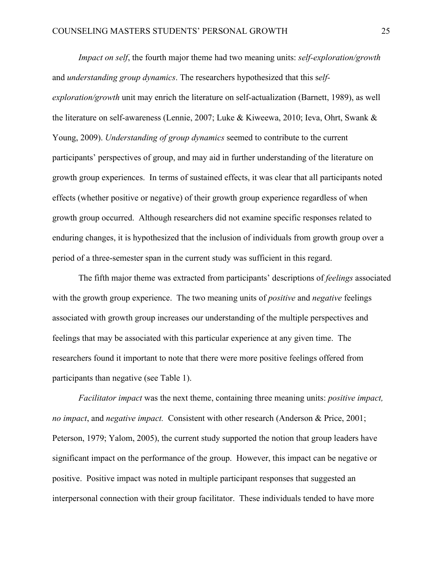*Impact on self*, the fourth major theme had two meaning units: *self-exploration/growth* and *understanding group dynamics*. The researchers hypothesized that this s*elfexploration/growth* unit may enrich the literature on self-actualization (Barnett, 1989), as well the literature on self-awareness (Lennie, 2007; Luke & Kiweewa, 2010; Ieva, Ohrt, Swank & Young, 2009). *Understanding of group dynamics* seemed to contribute to the current participants' perspectives of group, and may aid in further understanding of the literature on growth group experiences. In terms of sustained effects, it was clear that all participants noted effects (whether positive or negative) of their growth group experience regardless of when growth group occurred. Although researchers did not examine specific responses related to enduring changes, it is hypothesized that the inclusion of individuals from growth group over a period of a three-semester span in the current study was sufficient in this regard.

The fifth major theme was extracted from participants' descriptions of *feelings* associated with the growth group experience. The two meaning units of *positive* and *negative* feelings associated with growth group increases our understanding of the multiple perspectives and feelings that may be associated with this particular experience at any given time. The researchers found it important to note that there were more positive feelings offered from participants than negative (see Table 1).

*Facilitator impact* was the next theme, containing three meaning units: *positive impact, no impact*, and *negative impact.* Consistent with other research (Anderson & Price, 2001; Peterson, 1979; Yalom, 2005), the current study supported the notion that group leaders have significant impact on the performance of the group. However, this impact can be negative or positive. Positive impact was noted in multiple participant responses that suggested an interpersonal connection with their group facilitator. These individuals tended to have more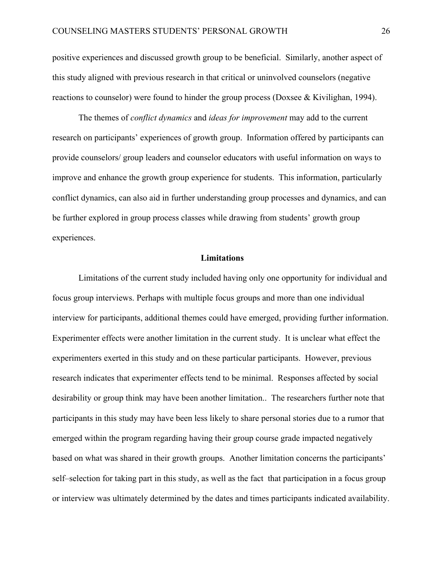positive experiences and discussed growth group to be beneficial. Similarly, another aspect of this study aligned with previous research in that critical or uninvolved counselors (negative reactions to counselor) were found to hinder the group process (Doxsee & Kivilighan, 1994).

The themes of *conflict dynamics* and *ideas for improvement* may add to the current research on participants' experiences of growth group. Information offered by participants can provide counselors/ group leaders and counselor educators with useful information on ways to improve and enhance the growth group experience for students. This information, particularly conflict dynamics, can also aid in further understanding group processes and dynamics, and can be further explored in group process classes while drawing from students' growth group experiences.

#### **Limitations**

Limitations of the current study included having only one opportunity for individual and focus group interviews. Perhaps with multiple focus groups and more than one individual interview for participants, additional themes could have emerged, providing further information. Experimenter effects were another limitation in the current study. It is unclear what effect the experimenters exerted in this study and on these particular participants. However, previous research indicates that experimenter effects tend to be minimal. Responses affected by social desirability or group think may have been another limitation.. The researchers further note that participants in this study may have been less likely to share personal stories due to a rumor that emerged within the program regarding having their group course grade impacted negatively based on what was shared in their growth groups. Another limitation concerns the participants' self–selection for taking part in this study, as well as the fact that participation in a focus group or interview was ultimately determined by the dates and times participants indicated availability.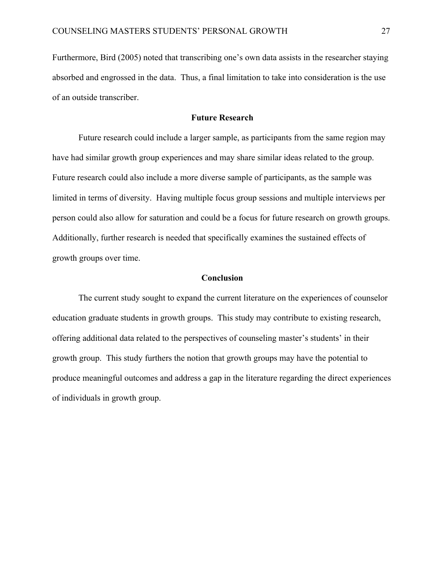Furthermore, Bird (2005) noted that transcribing one's own data assists in the researcher staying absorbed and engrossed in the data. Thus, a final limitation to take into consideration is the use of an outside transcriber.

#### **Future Research**

Future research could include a larger sample, as participants from the same region may have had similar growth group experiences and may share similar ideas related to the group. Future research could also include a more diverse sample of participants, as the sample was limited in terms of diversity. Having multiple focus group sessions and multiple interviews per person could also allow for saturation and could be a focus for future research on growth groups. Additionally, further research is needed that specifically examines the sustained effects of growth groups over time.

#### **Conclusion**

The current study sought to expand the current literature on the experiences of counselor education graduate students in growth groups. This study may contribute to existing research, offering additional data related to the perspectives of counseling master's students' in their growth group. This study furthers the notion that growth groups may have the potential to produce meaningful outcomes and address a gap in the literature regarding the direct experiences of individuals in growth group.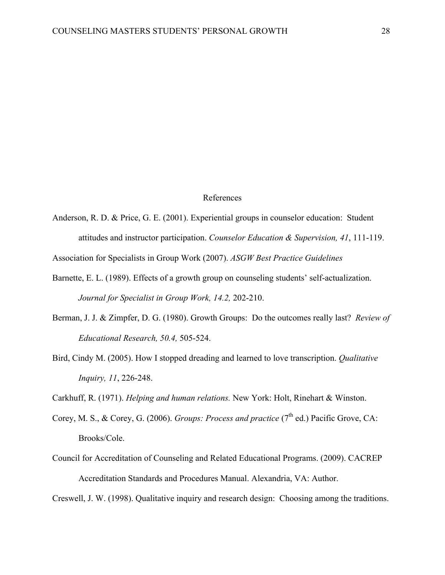#### References

Anderson, R. D. & Price, G. E. (2001). Experiential groups in counselor education: Student attitudes and instructor participation. *Counselor Education & Supervision, 41*, 111-119.

Association for Specialists in Group Work (2007). *ASGW Best Practice Guidelines*

- Barnette, E. L. (1989). Effects of a growth group on counseling students' self-actualization. *Journal for Specialist in Group Work, 14.2,* 202-210.
- Berman, J. J. & Zimpfer, D. G. (1980). Growth Groups: Do the outcomes really last? *Review of Educational Research, 50.4,* 505-524.
- Bird, Cindy M. (2005). How I stopped dreading and learned to love transcription. *Qualitative Inquiry, 11*, 226-248.

Carkhuff, R. (1971). *Helping and human relations.* New York: Holt, Rinehart & Winston.

- Corey, M. S., & Corey, G. (2006). *Groups: Process and practice* (7<sup>th</sup> ed.) Pacific Grove, CA: Brooks/Cole.
- Council for Accreditation of Counseling and Related Educational Programs. (2009). CACREP Accreditation Standards and Procedures Manual. Alexandria, VA: Author.

Creswell, J. W. (1998). Qualitative inquiry and research design: Choosing among the traditions.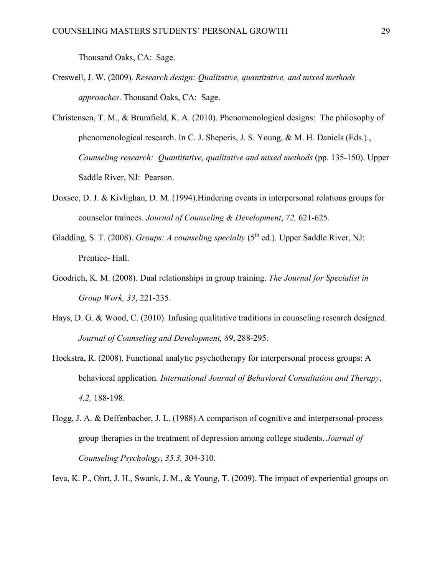Thousand Oaks, CA: Sage.

- Creswell, J. W. (2009). *Research design: Qualitative, quantitative, and mixed methods approaches*. Thousand Oaks, CA: Sage.
- Christensen, T. M., & Brumfield, K. A. (2010). Phenomenological designs: The philosophy of phenomenological research. In C. J. Sheperis, J. S. Young, & M. H. Daniels (Eds.)., *Counseling research: Quantitative, qualitative and mixed methods* (pp. 135-150). Upper Saddle River, NJ: Pearson.
- Doxsee, D. J. & Kivlighan, D. M. (1994).Hindering events in interpersonal relations groups for counselor trainees. *Journal of Counseling & Development*, *72,* 621-625.
- Gladding, S. T. (2008). *Groups: A counseling specialty* (5<sup>th</sup> ed.). Upper Saddle River, NJ: Prentice- Hall.
- Goodrich, K. M. (2008). Dual relationships in group training. *The Journal for Specialist in Group Work, 33*, 221-235.
- Hays, D. G. & Wood, C. (2010). Infusing qualitative traditions in counseling research designed. *Journal of Counseling and Development, 89*, 288-295.
- Hoekstra, R. (2008). Functional analytic psychotherapy for interpersonal process groups: A behavioral application*. International Journal of Behavioral Consultation and Therapy*, *4.2,* 188-198.
- Hogg, J. A. & Deffenbacher, J. L. (1988).A comparison of cognitive and interpersonal-process group therapies in the treatment of depression among college students. *Journal of Counseling Psychology*, *35.3,* 304-310.
- Ieva, K. P., Ohrt, J. H., Swank, J. M., & Young, T. (2009). The impact of experiential groups on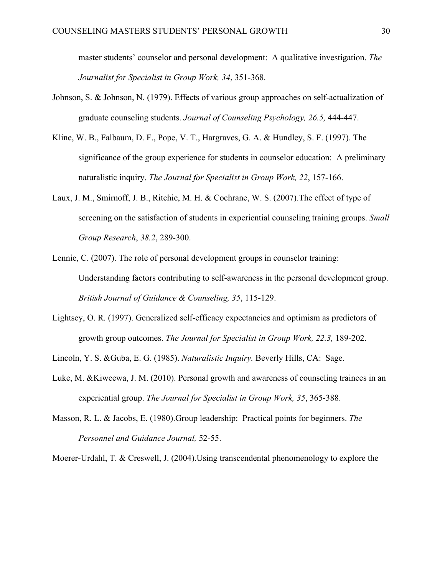master students' counselor and personal development: A qualitative investigation. *The Journalist for Specialist in Group Work, 34*, 351-368.

- Johnson, S. & Johnson, N. (1979). Effects of various group approaches on self-actualization of graduate counseling students. *Journal of Counseling Psychology, 26.5,* 444-447.
- Kline, W. B., Falbaum, D. F., Pope, V. T., Hargraves, G. A. & Hundley, S. F. (1997). The significance of the group experience for students in counselor education: A preliminary naturalistic inquiry. *The Journal for Specialist in Group Work, 22*, 157-166.
- Laux, J. M., Smirnoff, J. B., Ritchie, M. H. & Cochrane, W. S. (2007).The effect of type of screening on the satisfaction of students in experiential counseling training groups. *Small Group Research*, *38.2*, 289-300.
- Lennie, C. (2007). The role of personal development groups in counselor training: Understanding factors contributing to self-awareness in the personal development group. *British Journal of Guidance & Counseling, 35*, 115-129.
- Lightsey, O. R. (1997). Generalized self-efficacy expectancies and optimism as predictors of growth group outcomes. *The Journal for Specialist in Group Work, 22.3,* 189-202.
- Lincoln, Y. S. &Guba, E. G. (1985). *Naturalistic Inquiry.* Beverly Hills, CA: Sage.
- Luke, M. &Kiweewa, J. M. (2010). Personal growth and awareness of counseling trainees in an experiential group. *The Journal for Specialist in Group Work, 35*, 365-388.
- Masson, R. L. & Jacobs, E. (1980).Group leadership: Practical points for beginners. *The Personnel and Guidance Journal,* 52-55.

Moerer-Urdahl, T. & Creswell, J. (2004).Using transcendental phenomenology to explore the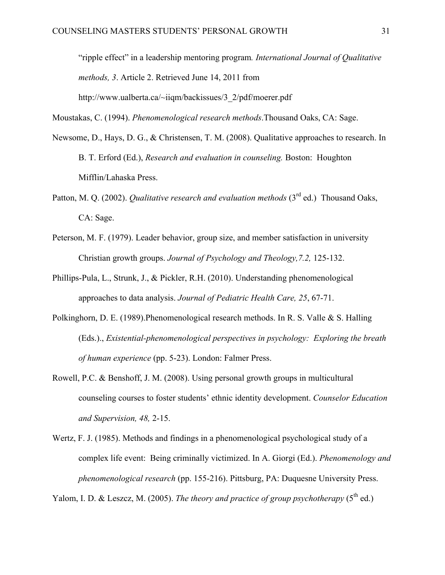"ripple effect" in a leadership mentoring program*. International Journal of Qualitative methods, 3*. Article 2. Retrieved June 14, 2011 from http://www.ualberta.ca/~iiqm/backissues/3\_2/pdf/moerer.pdf

Moustakas, C. (1994). *Phenomenological research methods*.Thousand Oaks, CA: Sage.

- Newsome, D., Hays, D. G., & Christensen, T. M. (2008). Qualitative approaches to research. In B. T. Erford (Ed.), *Research and evaluation in counseling.* Boston: Houghton Mifflin/Lahaska Press.
- Patton, M. Q. (2002). *Qualitative research and evaluation methods* (3<sup>rd</sup> ed.) Thousand Oaks. CA: Sage.
- Peterson, M. F. (1979). Leader behavior, group size, and member satisfaction in university Christian growth groups. *Journal of Psychology and Theology,7.2,* 125-132.
- Phillips-Pula, L., Strunk, J., & Pickler, R.H. (2010). Understanding phenomenological approaches to data analysis. *Journal of Pediatric Health Care, 25*, 67-71.
- Polkinghorn, D. E. (1989).Phenomenological research methods. In R. S. Valle & S. Halling (Eds.)., *Existential-phenomenological perspectives in psychology: Exploring the breath of human experience* (pp. 5-23). London: Falmer Press.
- Rowell, P.C. & Benshoff, J. M. (2008). Using personal growth groups in multicultural counseling courses to foster students' ethnic identity development. *Counselor Education and Supervision, 48,* 2-15.
- Wertz, F. J. (1985). Methods and findings in a phenomenological psychological study of a complex life event: Being criminally victimized. In A. Giorgi (Ed.). *Phenomenology and phenomenological research* (pp. 155-216). Pittsburg, PA: Duquesne University Press.

Yalom, I. D. & Leszcz, M. (2005). *The theory and practice of group psychotherapy* (5<sup>th</sup> ed.)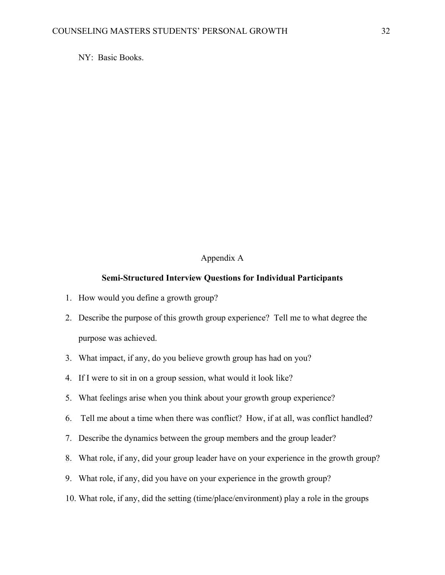NY: Basic Books.

#### Appendix A

#### **Semi-Structured Interview Questions for Individual Participants**

- 1. How would you define a growth group?
- 2. Describe the purpose of this growth group experience? Tell me to what degree the purpose was achieved.
- 3. What impact, if any, do you believe growth group has had on you?
- 4. If I were to sit in on a group session, what would it look like?
- 5. What feelings arise when you think about your growth group experience?
- 6. Tell me about a time when there was conflict? How, if at all, was conflict handled?
- 7. Describe the dynamics between the group members and the group leader?
- 8. What role, if any, did your group leader have on your experience in the growth group?
- 9. What role, if any, did you have on your experience in the growth group?
- 10. What role, if any, did the setting (time/place/environment) play a role in the groups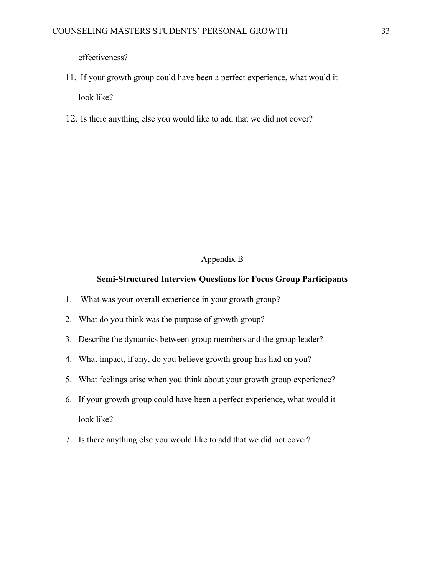effectiveness?

- 11. If your growth group could have been a perfect experience, what would it look like?
- 12. Is there anything else you would like to add that we did not cover?

#### Appendix B

#### **Semi-Structured Interview Questions for Focus Group Participants**

- 1. What was your overall experience in your growth group?
- 2. What do you think was the purpose of growth group?
- 3. Describe the dynamics between group members and the group leader?
- 4. What impact, if any, do you believe growth group has had on you?
- 5. What feelings arise when you think about your growth group experience?
- 6. If your growth group could have been a perfect experience, what would it look like?
- 7. Is there anything else you would like to add that we did not cover?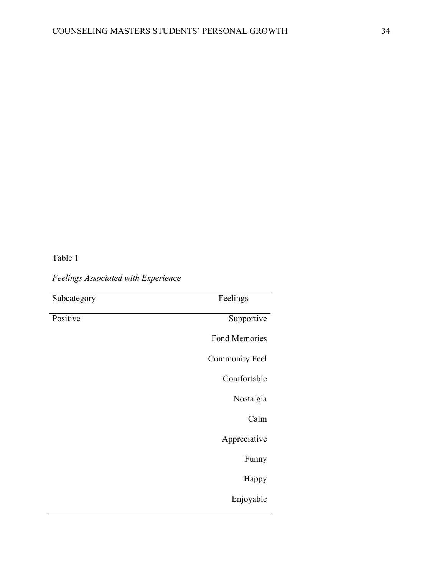Table 1

*Feelings Associated with Experience*

| Subcategory | Feelings              |
|-------------|-----------------------|
| Positive    | Supportive            |
|             | <b>Fond Memories</b>  |
|             | <b>Community Feel</b> |
|             | Comfortable           |
|             | Nostalgia             |
|             | Calm                  |
|             | Appreciative          |
|             | Funny                 |
|             | Happy                 |
|             | Enjoyable             |